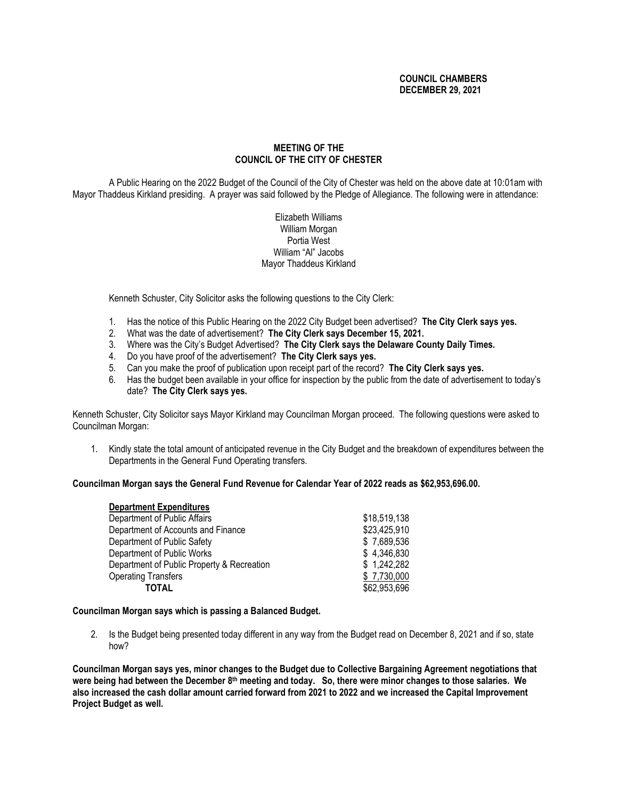## **COUNCIL CHAMBERS DECEMBER 29, 2021**

# **MEETING OF THE COUNCIL OF THE CITY OF CHESTER**

A Public Hearing on the 2022 Budget of the Council of the City of Chester was held on the above date at 10:01am with Mayor Thaddeus Kirkland presiding. A prayer was said followed by the Pledge of Allegiance. The following were in attendance:

### Elizabeth Williams William Morgan Portia West William "Al" Jacobs Mayor Thaddeus Kirkland

Kenneth Schuster, City Solicitor asks the following questions to the City Clerk:

- 1. Has the notice of this Public Hearing on the 2022 City Budget been advertised? **The City Clerk says yes.**
- 2. What was the date of advertisement? **The City Clerk says December 15, 2021.**
- 3. Where was the City's Budget Advertised? **The City Clerk says the Delaware County Daily Times.**
- 4. Do you have proof of the advertisement? **The City Clerk says yes.**
- 5. Can you make the proof of publication upon receipt part of the record? **The City Clerk says yes.**
- 6. Has the budget been available in your office for inspection by the public from the date of advertisement to today's date? **The City Clerk says yes.**

Kenneth Schuster, City Solicitor says Mayor Kirkland may Councilman Morgan proceed. The following questions were asked to Councilman Morgan:

1. Kindly state the total amount of anticipated revenue in the City Budget and the breakdown of expenditures between the Departments in the General Fund Operating transfers.

### **Councilman Morgan says the General Fund Revenue for Calendar Year of 2022 reads as \$62,953,696.00.**

| <b>Department Expenditures</b>             |              |
|--------------------------------------------|--------------|
| Department of Public Affairs               | \$18,519,138 |
| Department of Accounts and Finance         | \$23,425,910 |
| Department of Public Safety                | \$7,689,536  |
| Department of Public Works                 | \$4,346,830  |
| Department of Public Property & Recreation | \$1,242,282  |
| <b>Operating Transfers</b>                 | \$7,730,000  |
| TOTAL                                      | \$62,953,696 |

### **Councilman Morgan says which is passing a Balanced Budget.**

2. Is the Budget being presented today different in any way from the Budget read on December 8, 2021 and if so, state how?

**Councilman Morgan says yes, minor changes to the Budget due to Collective Bargaining Agreement negotiations that were being had between the December 8 th meeting and today. So, there were minor changes to those salaries. We also increased the cash dollar amount carried forward from 2021 to 2022 and we increased the Capital Improvement Project Budget as well.**